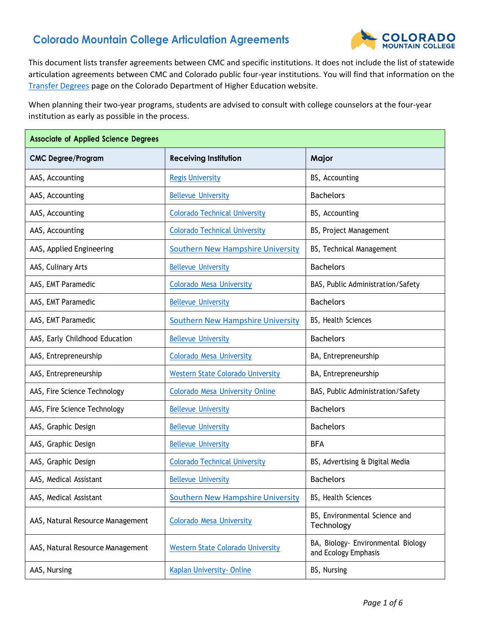## **Colorado Mountain College Articulation Agreements**



This document lists transfer agreements between CMC and specific institutions. It does not include the list of statewide articulation agreements between CMC and Colorado public four-year institutions. You will find that information on the [Transfer](http://highered.colorado.gov/Academics/Transfers/TransferDegrees.html) Degrees page on the Colorado Department of Higher Education website.

When planning their two-year programs, students are advised to consult with college counselors at the four-year institution as early as possible in the process.

| <b>Associate of Applied Science Degrees</b> |                                          |                                                            |
|---------------------------------------------|------------------------------------------|------------------------------------------------------------|
| <b>CMC Degree/Program</b>                   | <b>Receiving Institution</b>             | Major                                                      |
| AAS, Accounting                             | <b>Regis University</b>                  | BS, Accounting                                             |
| AAS, Accounting                             | <b>Bellevue University</b>               | <b>Bachelors</b>                                           |
| AAS, Accounting                             | <b>Colorado Technical University</b>     | BS, Accounting                                             |
| AAS, Accounting                             | <b>Colorado Technical University</b>     | BS, Project Management                                     |
| AAS, Applied Engineering                    | <b>Southern New Hampshire University</b> | BS, Technical Management                                   |
| AAS, Culinary Arts                          | <b>Bellevue University</b>               | <b>Bachelors</b>                                           |
| AAS, EMT Paramedic                          | <b>Colorado Mesa University</b>          | BAS, Public Administration/Safety                          |
| AAS, EMT Paramedic                          | <b>Bellevue University</b>               | <b>Bachelors</b>                                           |
| AAS, EMT Paramedic                          | <b>Southern New Hampshire University</b> | BS, Health Sciences                                        |
| AAS, Early Childhood Education              | <b>Bellevue University</b>               | <b>Bachelors</b>                                           |
| AAS, Entrepreneurship                       | <b>Colorado Mesa University</b>          | BA, Entrepreneurship                                       |
| AAS, Entrepreneurship                       | <b>Western State Colorado University</b> | BA, Entrepreneurship                                       |
| AAS, Fire Science Technology                | <b>Colorado Mesa University Online</b>   | BAS, Public Administration/Safety                          |
| AAS, Fire Science Technology                | <b>Bellevue University</b>               | <b>Bachelors</b>                                           |
| AAS, Graphic Design                         | <b>Bellevue University</b>               | <b>Bachelors</b>                                           |
| AAS, Graphic Design                         | <b>Bellevue University</b>               | <b>BFA</b>                                                 |
| AAS, Graphic Design                         | <b>Colorado Technical University</b>     | BS, Advertising & Digital Media                            |
| AAS, Medical Assistant                      | <b>Bellevue University</b>               | <b>Bachelors</b>                                           |
| AAS, Medical Assistant                      | <b>Southern New Hampshire University</b> | BS, Health Sciences                                        |
| AAS, Natural Resource Management            | <b>Colorado Mesa University</b>          | BS, Environmental Science and<br>Technology                |
| AAS, Natural Resource Management            | <b>Western State Colorado University</b> | BA, Biology- Environmental Biology<br>and Ecology Emphasis |
| AAS, Nursing                                | Kaplan University-Online                 | BS, Nursing                                                |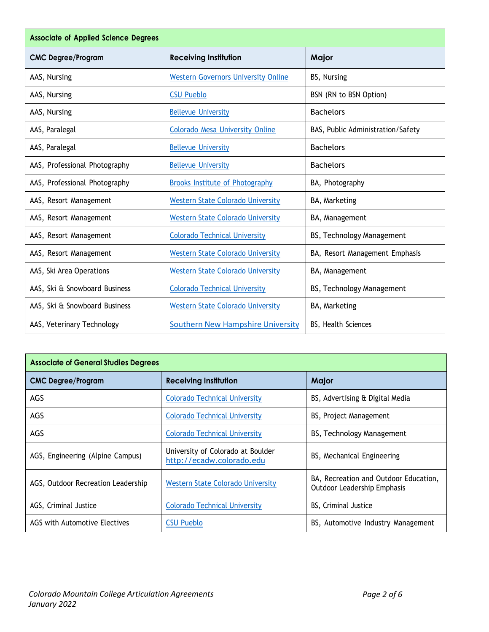| <b>Associate of Applied Science Degrees</b> |                                            |                                   |
|---------------------------------------------|--------------------------------------------|-----------------------------------|
| <b>CMC Degree/Program</b>                   | <b>Receiving Institution</b>               | Major                             |
| AAS, Nursing                                | <b>Western Governors University Online</b> | BS, Nursing                       |
| AAS, Nursing                                | <b>CSU Pueblo</b>                          | BSN (RN to BSN Option)            |
| AAS, Nursing                                | <b>Bellevue University</b>                 | <b>Bachelors</b>                  |
| AAS, Paralegal                              | Colorado Mesa University Online            | BAS, Public Administration/Safety |
| AAS, Paralegal                              | <b>Bellevue University</b>                 | <b>Bachelors</b>                  |
| AAS, Professional Photography               | <b>Bellevue University</b>                 | <b>Bachelors</b>                  |
| AAS, Professional Photography               | <b>Brooks Institute of Photography</b>     | BA, Photography                   |
| AAS, Resort Management                      | <b>Western State Colorado University</b>   | BA, Marketing                     |
| AAS, Resort Management                      | <b>Western State Colorado University</b>   | BA, Management                    |
| AAS, Resort Management                      | <b>Colorado Technical University</b>       | BS, Technology Management         |
| AAS, Resort Management                      | <b>Western State Colorado University</b>   | BA, Resort Management Emphasis    |
| AAS, Ski Area Operations                    | <b>Western State Colorado University</b>   | BA, Management                    |
| AAS, Ski & Snowboard Business               | <b>Colorado Technical University</b>       | BS, Technology Management         |
| AAS, Ski & Snowboard Business               | <b>Western State Colorado University</b>   | BA, Marketing                     |
| AAS, Veterinary Technology                  | <b>Southern New Hampshire University</b>   | BS, Health Sciences               |

| <b>Associate of General Studies Degrees</b> |                                                                |                                                                             |
|---------------------------------------------|----------------------------------------------------------------|-----------------------------------------------------------------------------|
| <b>CMC Degree/Program</b>                   | <b>Receiving Institution</b>                                   | Major                                                                       |
| AGS                                         | <b>Colorado Technical University</b>                           | BS, Advertising & Digital Media                                             |
| AGS                                         | <b>Colorado Technical University</b>                           | BS, Project Management                                                      |
| AGS                                         | <b>Colorado Technical University</b>                           | BS, Technology Management                                                   |
| AGS, Engineering (Alpine Campus)            | University of Colorado at Boulder<br>http://ecadw.colorado.edu | BS, Mechanical Engineering                                                  |
| AGS, Outdoor Recreation Leadership          | Western State Colorado University                              | BA, Recreation and Outdoor Education,<br><b>Outdoor Leadership Emphasis</b> |
| AGS, Criminal Justice                       | <b>Colorado Technical University</b>                           | BS, Criminal Justice                                                        |
| AGS with Automotive Electives               | <b>CSU Pueblo</b>                                              | BS, Automotive Industry Management                                          |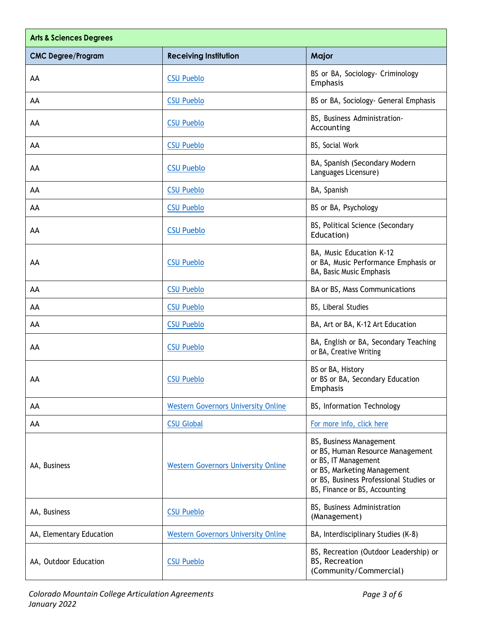| <b>Arts &amp; Sciences Degrees</b> |                                            |                                                                                                                                                                                                |
|------------------------------------|--------------------------------------------|------------------------------------------------------------------------------------------------------------------------------------------------------------------------------------------------|
| <b>CMC Degree/Program</b>          | <b>Receiving Institution</b>               | Major                                                                                                                                                                                          |
| AA                                 | <b>CSU Pueblo</b>                          | BS or BA, Sociology- Criminology<br>Emphasis                                                                                                                                                   |
| AA                                 | <b>CSU Pueblo</b>                          | BS or BA, Sociology- General Emphasis                                                                                                                                                          |
| AA                                 | <b>CSU Pueblo</b>                          | BS, Business Administration-<br>Accounting                                                                                                                                                     |
| AA                                 | <b>CSU Pueblo</b>                          | BS, Social Work                                                                                                                                                                                |
| AA                                 | <b>CSU Pueblo</b>                          | BA, Spanish (Secondary Modern<br>Languages Licensure)                                                                                                                                          |
| AA                                 | <b>CSU Pueblo</b>                          | BA, Spanish                                                                                                                                                                                    |
| AA                                 | <b>CSU Pueblo</b>                          | BS or BA, Psychology                                                                                                                                                                           |
| AA                                 | <b>CSU Pueblo</b>                          | BS, Political Science (Secondary<br>Education)                                                                                                                                                 |
| AA                                 | <b>CSU Pueblo</b>                          | BA, Music Education K-12<br>or BA, Music Performance Emphasis or<br>BA, Basic Music Emphasis                                                                                                   |
| AA                                 | <b>CSU Pueblo</b>                          | BA or BS, Mass Communications                                                                                                                                                                  |
| AA                                 | <b>CSU Pueblo</b>                          | BS, Liberal Studies                                                                                                                                                                            |
| AA                                 | <b>CSU Pueblo</b>                          | BA, Art or BA, K-12 Art Education                                                                                                                                                              |
| AA                                 | <b>CSU Pueblo</b>                          | BA, English or BA, Secondary Teaching<br>or BA, Creative Writing                                                                                                                               |
| AA                                 | <b>CSU Pueblo</b>                          | BS or BA, History<br>or BS or BA, Secondary Education<br>Emphasis                                                                                                                              |
| AA                                 | <b>Western Governors University Online</b> | BS, Information Technology                                                                                                                                                                     |
| AA                                 | <b>CSU Global</b>                          | For more info, click here                                                                                                                                                                      |
| AA, Business                       | <b>Western Governors University Online</b> | BS, Business Management<br>or BS, Human Resource Management<br>or BS, IT Management<br>or BS, Marketing Management<br>or BS, Business Professional Studies or<br>BS, Finance or BS, Accounting |
| AA, Business                       | <b>CSU Pueblo</b>                          | BS, Business Administration<br>(Management)                                                                                                                                                    |
| AA, Elementary Education           | <b>Western Governors University Online</b> | BA, Interdisciplinary Studies (K-8)                                                                                                                                                            |
| AA, Outdoor Education              | <b>CSU Pueblo</b>                          | BS, Recreation (Outdoor Leadership) or<br>BS, Recreation<br>(Community/Commercial)                                                                                                             |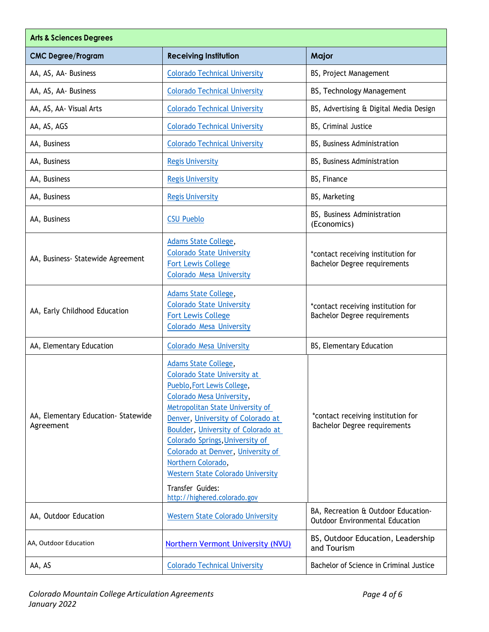| <b>Arts &amp; Sciences Degrees</b>               |                                                                                                                                                                                                                                                                                                                                                                                                                                             |                                                                               |
|--------------------------------------------------|---------------------------------------------------------------------------------------------------------------------------------------------------------------------------------------------------------------------------------------------------------------------------------------------------------------------------------------------------------------------------------------------------------------------------------------------|-------------------------------------------------------------------------------|
| <b>CMC Degree/Program</b>                        | <b>Receiving Institution</b>                                                                                                                                                                                                                                                                                                                                                                                                                | Major                                                                         |
| AA, AS, AA- Business                             | <b>Colorado Technical University</b>                                                                                                                                                                                                                                                                                                                                                                                                        | BS, Project Management                                                        |
| AA, AS, AA- Business                             | <b>Colorado Technical University</b>                                                                                                                                                                                                                                                                                                                                                                                                        | BS, Technology Management                                                     |
| AA, AS, AA- Visual Arts                          | <b>Colorado Technical University</b>                                                                                                                                                                                                                                                                                                                                                                                                        | BS, Advertising & Digital Media Design                                        |
| AA, AS, AGS                                      | <b>Colorado Technical University</b>                                                                                                                                                                                                                                                                                                                                                                                                        | BS, Criminal Justice                                                          |
| AA, Business                                     | <b>Colorado Technical University</b>                                                                                                                                                                                                                                                                                                                                                                                                        | BS, Business Administration                                                   |
| AA, Business                                     | <b>Regis University</b>                                                                                                                                                                                                                                                                                                                                                                                                                     | BS, Business Administration                                                   |
| AA, Business                                     | <b>Regis University</b>                                                                                                                                                                                                                                                                                                                                                                                                                     | BS, Finance                                                                   |
| AA, Business                                     | <b>Regis University</b>                                                                                                                                                                                                                                                                                                                                                                                                                     | BS, Marketing                                                                 |
| AA, Business                                     | <b>CSU Pueblo</b>                                                                                                                                                                                                                                                                                                                                                                                                                           | BS, Business Administration<br>(Economics)                                    |
| AA, Business- Statewide Agreement                | Adams State College,<br><b>Colorado State University</b><br><b>Fort Lewis College</b><br><b>Colorado Mesa University</b>                                                                                                                                                                                                                                                                                                                    | *contact receiving institution for<br><b>Bachelor Degree requirements</b>     |
| AA, Early Childhood Education                    | Adams State College,<br><b>Colorado State University</b><br><b>Fort Lewis College</b><br><b>Colorado Mesa University</b>                                                                                                                                                                                                                                                                                                                    | *contact receiving institution for<br>Bachelor Degree requirements            |
| AA, Elementary Education                         | <b>Colorado Mesa University</b>                                                                                                                                                                                                                                                                                                                                                                                                             | BS, Elementary Education                                                      |
| AA, Elementary Education- Statewide<br>Agreement | <b>Adams State College,</b><br><b>Colorado State University at</b><br>Pueblo, Fort Lewis College,<br>Colorado Mesa University,<br>Metropolitan State University of<br>Denver, University of Colorado at<br>Boulder, University of Colorado at<br>Colorado Springs, University of<br>Colorado at Denver, University of<br>Northern Colorado,<br><b>Western State Colorado University</b><br>Transfer Guides:<br>http://highered.colorado.gov | *contact receiving institution for<br>Bachelor Degree requirements            |
| AA, Outdoor Education                            | <b>Western State Colorado University</b>                                                                                                                                                                                                                                                                                                                                                                                                    | BA, Recreation & Outdoor Education-<br><b>Outdoor Environmental Education</b> |
| AA, Outdoor Education                            | Northern Vermont University (NVU)                                                                                                                                                                                                                                                                                                                                                                                                           | BS, Outdoor Education, Leadership<br>and Tourism                              |
| AA, AS                                           | <b>Colorado Technical University</b>                                                                                                                                                                                                                                                                                                                                                                                                        | Bachelor of Science in Criminal Justice                                       |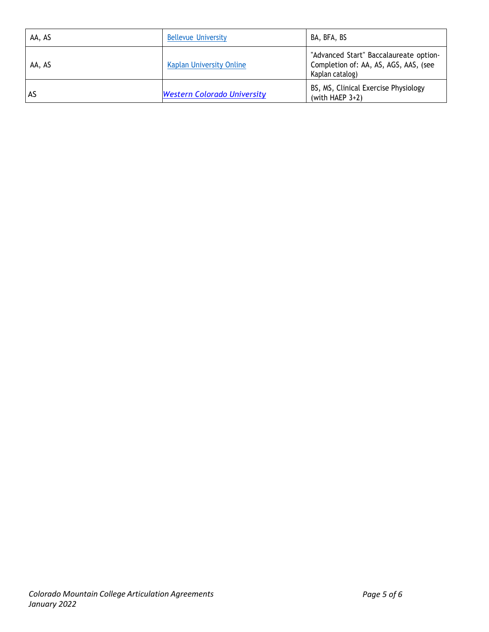| AA, AS | <b>Bellevue University</b>         | BA, BFA, BS                                                                                        |
|--------|------------------------------------|----------------------------------------------------------------------------------------------------|
| AA, AS | <b>Kaplan University Online</b>    | "Advanced Start" Baccalaureate option-<br>Completion of: AA, AS, AGS, AAS, (see<br>Kaplan catalog) |
| AS     | <b>Western Colorado University</b> | BS, MS, Clinical Exercise Physiology<br>(with HAEP $3+2$ )                                         |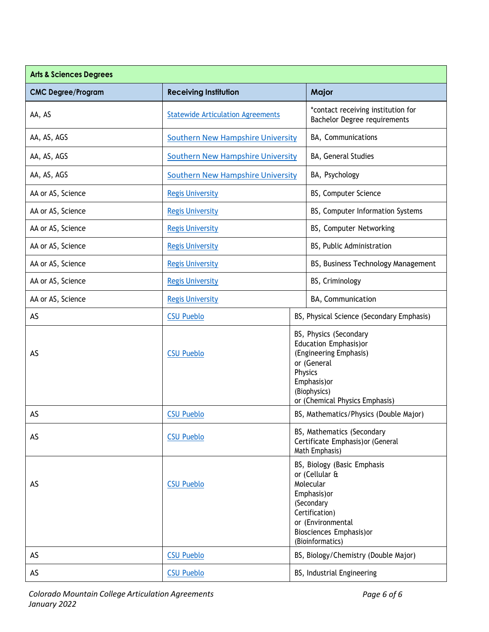| <b>Arts &amp; Sciences Degrees</b> |                                                                                                                                                           |                                      |                                                                                                                                                                                 |  |
|------------------------------------|-----------------------------------------------------------------------------------------------------------------------------------------------------------|--------------------------------------|---------------------------------------------------------------------------------------------------------------------------------------------------------------------------------|--|
| <b>CMC Degree/Program</b>          | <b>Receiving Institution</b>                                                                                                                              |                                      | Major                                                                                                                                                                           |  |
| AA, AS                             | <b>Statewide Articulation Agreements</b>                                                                                                                  |                                      | *contact receiving institution for<br>Bachelor Degree requirements                                                                                                              |  |
| AA, AS, AGS                        | <b>Southern New Hampshire University</b>                                                                                                                  |                                      | BA, Communications                                                                                                                                                              |  |
| AA, AS, AGS                        | <b>Southern New Hampshire University</b>                                                                                                                  |                                      | BA, General Studies                                                                                                                                                             |  |
| AA, AS, AGS                        | <b>Southern New Hampshire University</b>                                                                                                                  |                                      | BA, Psychology                                                                                                                                                                  |  |
| AA or AS, Science                  | <b>Regis University</b>                                                                                                                                   |                                      | BS, Computer Science                                                                                                                                                            |  |
| AA or AS, Science                  | <b>Regis University</b>                                                                                                                                   |                                      | BS, Computer Information Systems                                                                                                                                                |  |
| AA or AS, Science                  | <b>Regis University</b>                                                                                                                                   |                                      | BS, Computer Networking                                                                                                                                                         |  |
| AA or AS, Science                  | <b>Regis University</b>                                                                                                                                   |                                      | BS, Public Administration                                                                                                                                                       |  |
| AA or AS, Science                  | <b>Regis University</b>                                                                                                                                   |                                      | BS, Business Technology Management                                                                                                                                              |  |
| AA or AS, Science                  | <b>Regis University</b>                                                                                                                                   |                                      | BS, Criminology                                                                                                                                                                 |  |
| AA or AS, Science                  | <b>Regis University</b>                                                                                                                                   |                                      | BA, Communication                                                                                                                                                               |  |
| AS                                 | <b>CSU Pueblo</b>                                                                                                                                         |                                      | BS, Physical Science (Secondary Emphasis)                                                                                                                                       |  |
| AS                                 | BS, Physics (Secondary<br>Education Emphasis) or<br><b>CSU Pueblo</b><br>(Engineering Emphasis)<br>or (General<br>Physics<br>Emphasis) or<br>(Biophysics) |                                      | or (Chemical Physics Emphasis)                                                                                                                                                  |  |
| AS                                 | <b>CSU Pueblo</b>                                                                                                                                         |                                      | BS, Mathematics/Physics (Double Major)                                                                                                                                          |  |
| AS                                 | <b>CSU Pueblo</b>                                                                                                                                         |                                      | BS, Mathematics (Secondary<br>Certificate Emphasis) or (General<br>Math Emphasis)                                                                                               |  |
| AS                                 | <b>CSU Pueblo</b>                                                                                                                                         |                                      | BS, Biology (Basic Emphasis<br>or (Cellular &<br>Molecular<br>Emphasis) or<br>(Secondary<br>Certification)<br>or (Environmental<br>Biosciences Emphasis) or<br>(Bioinformatics) |  |
| AS                                 | <b>CSU Pueblo</b>                                                                                                                                         | BS, Biology/Chemistry (Double Major) |                                                                                                                                                                                 |  |
| AS                                 | <b>CSU Pueblo</b>                                                                                                                                         |                                      | BS, Industrial Engineering                                                                                                                                                      |  |